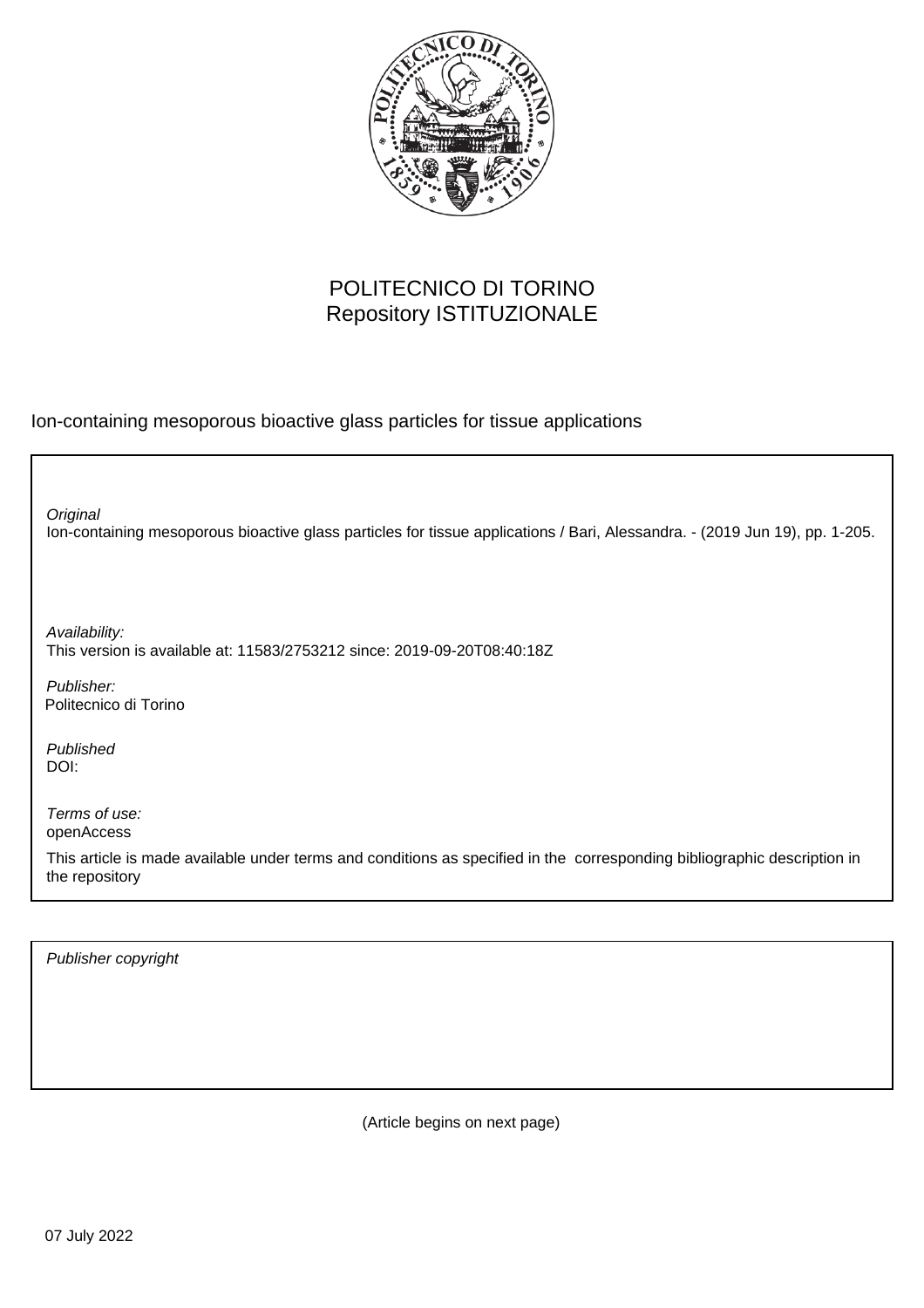

## POLITECNICO DI TORINO Repository ISTITUZIONALE

Ion-containing mesoporous bioactive glass particles for tissue applications

Ion-containing mesoporous bioactive glass particles for tissue applications / Bari, Alessandra. - (2019 Jun 19), pp. 1-205. **Original** 

Availability: This version is available at: 11583/2753212 since: 2019-09-20T08:40:18Z

Publisher: Politecnico di Torino

Published DOI:

Terms of use: openAccess

This article is made available under terms and conditions as specified in the corresponding bibliographic description in the repository

Publisher copyright

(Article begins on next page)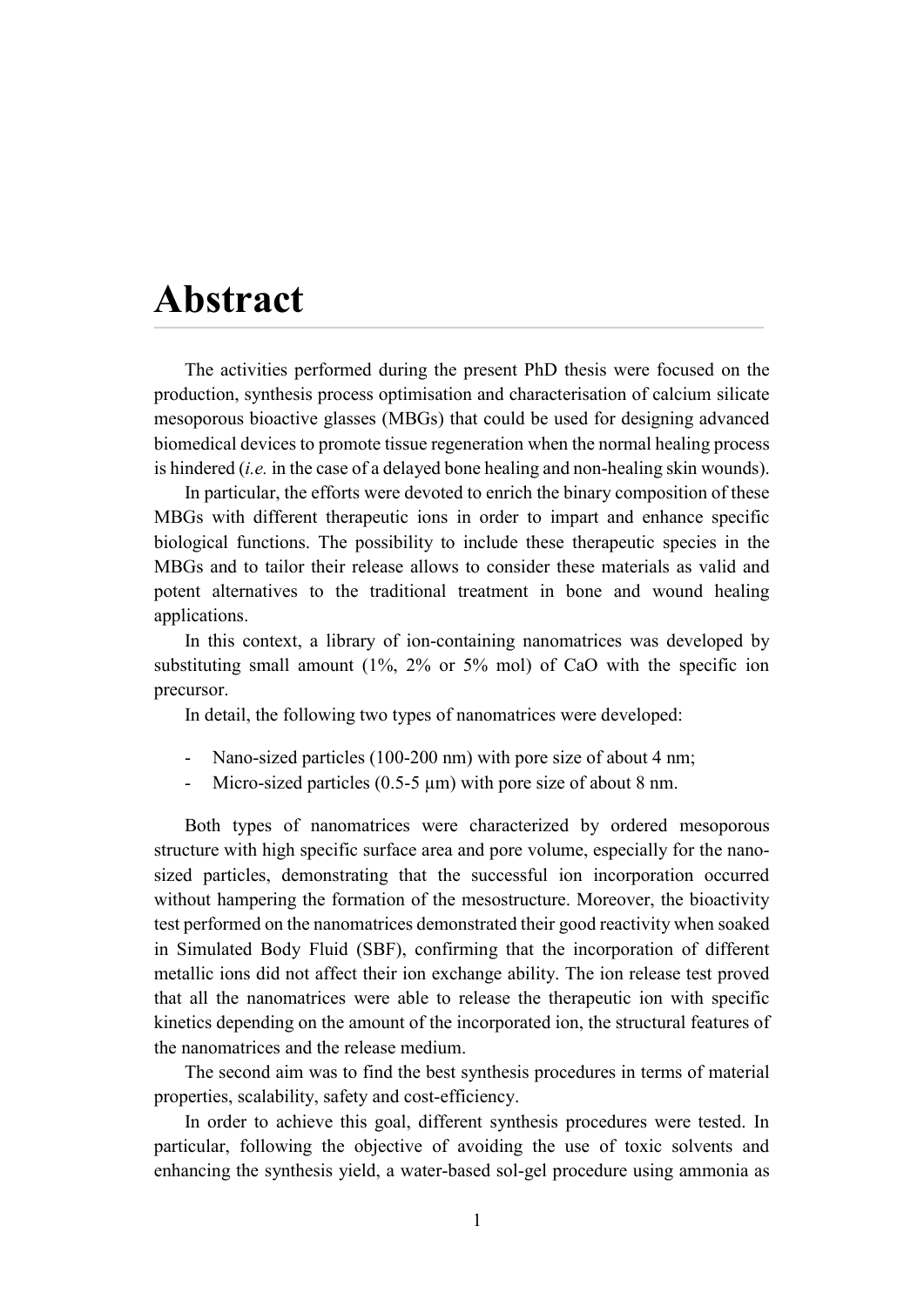## **Abstract**

The activities performed during the present PhD thesis were focused on the production, synthesis process optimisation and characterisation of calcium silicate mesoporous bioactive glasses (MBGs) that could be used for designing advanced biomedical devices to promote tissue regeneration when the normal healing process is hindered (*i.e.* in the case of a delayed bone healing and non-healing skin wounds).

In particular, the efforts were devoted to enrich the binary composition of these MBGs with different therapeutic ions in order to impart and enhance specific biological functions. The possibility to include these therapeutic species in the MBGs and to tailor their release allows to consider these materials as valid and potent alternatives to the traditional treatment in bone and wound healing applications.

In this context, a library of ion-containing nanomatrices was developed by substituting small amount (1%, 2% or 5% mol) of CaO with the specific ion precursor.

In detail, the following two types of nanomatrices were developed:

- Nano-sized particles (100-200 nm) with pore size of about 4 nm;
- Micro-sized particles (0.5-5  $\mu$ m) with pore size of about 8 nm.

Both types of nanomatrices were characterized by ordered mesoporous structure with high specific surface area and pore volume, especially for the nanosized particles, demonstrating that the successful ion incorporation occurred without hampering the formation of the mesostructure. Moreover, the bioactivity test performed on the nanomatrices demonstrated their good reactivity when soaked in Simulated Body Fluid (SBF), confirming that the incorporation of different metallic ions did not affect their ion exchange ability. The ion release test proved that all the nanomatrices were able to release the therapeutic ion with specific kinetics depending on the amount of the incorporated ion, the structural features of the nanomatrices and the release medium.

The second aim was to find the best synthesis procedures in terms of material properties, scalability, safety and cost-efficiency.

In order to achieve this goal, different synthesis procedures were tested. In particular, following the objective of avoiding the use of toxic solvents and enhancing the synthesis yield, a water-based sol-gel procedure using ammonia as